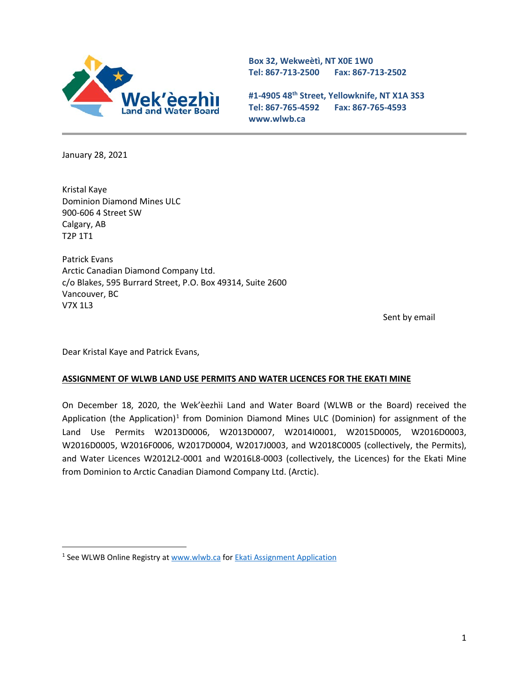

**Box 32, Wekweètì, NT X0E 1W0 Tel: 867-713-2500 Fax: 867-713-2502** 

**#1-4905 48th Street, Yellowknife, NT X1A 3S3 Tel: 867-765-4592 Fax: 867-765-4593 www.wlwb.ca**

January 28, 2021

Kristal Kaye Dominion Diamond Mines ULC 900-606 4 Street SW Calgary, AB T2P 1T1

Patrick Evans Arctic Canadian Diamond Company Ltd. c/o Blakes, 595 Burrard Street, P.O. Box 49314, Suite 2600 Vancouver, BC V7X 1L3

Sent by email

Dear Kristal Kaye and Patrick Evans,

## **ASSIGNMENT OF WLWB LAND USE PERMITS AND WATER LICENCES FOR THE EKATI MINE**

On December 18, 2020, the Wek'èezhìi Land and Water Board (WLWB or the Board) received the Application (the Application)<sup>[1](#page-0-0)</sup> from Dominion Diamond Mines ULC (Dominion) for assignment of the Land Use Permits W2013D0006, W2013D0007, W2014I0001, W2015D0005, W2016D0003, W2016D0005, W2016F0006, W2017D0004, W2017J0003, and W2018C0005 (collectively, the Permits), and Water Licences W2012L2-0001 and W2016L8-0003 (collectively, the Licences) for the Ekati Mine from Dominion to Arctic Canadian Diamond Company Ltd. (Arctic).

<span id="page-0-0"></span><sup>&</sup>lt;sup>1</sup> See WLWB Online Registry a[t www.wlwb.ca](http://www.wlwb.ca/) for **Ekati Assignment Application**